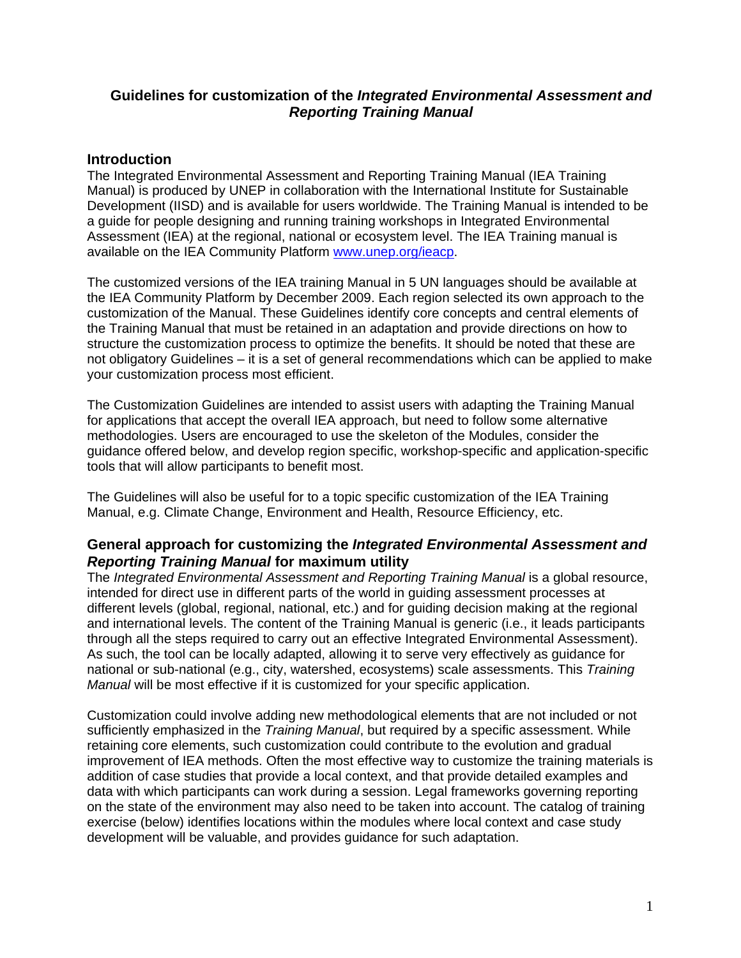### **Guidelines for customization of the** *Integrated Environmental Assessment and Reporting Training Manual*

### **Introduction**

The Integrated Environmental Assessment and Reporting Training Manual (IEA Training Manual) is produced by UNEP in collaboration with the International Institute for Sustainable Development (IISD) and is available for users worldwide. The Training Manual is intended to be a guide for people designing and running training workshops in Integrated Environmental Assessment (IEA) at the regional, national or ecosystem level. The IEA Training manual is available on the IEA Community Platform [www.unep.org/ieacp](http://www.unep.org/ieacp).

The customized versions of the IEA training Manual in 5 UN languages should be available at the IEA Community Platform by December 2009. Each region selected its own approach to the customization of the Manual. These Guidelines identify core concepts and central elements of the Training Manual that must be retained in an adaptation and provide directions on how to structure the customization process to optimize the benefits. It should be noted that these are not obligatory Guidelines – it is a set of general recommendations which can be applied to make your customization process most efficient.

The Customization Guidelines are intended to assist users with adapting the Training Manual for applications that accept the overall IEA approach, but need to follow some alternative methodologies. Users are encouraged to use the skeleton of the Modules, consider the guidance offered below, and develop region specific, workshop-specific and application-specific tools that will allow participants to benefit most.

The Guidelines will also be useful for to a topic specific customization of the IEA Training Manual, e.g. Climate Change, Environment and Health, Resource Efficiency, etc.

### **General approach for customizing the** *Integrated Environmental Assessment and Reporting Training Manual* **for maximum utility**

The *Integrated Environmental Assessment and Reporting Training Manual* is a global resource, intended for direct use in different parts of the world in guiding assessment processes at different levels (global, regional, national, etc.) and for guiding decision making at the regional and international levels. The content of the Training Manual is generic (i.e., it leads participants through all the steps required to carry out an effective Integrated Environmental Assessment). As such, the tool can be locally adapted, allowing it to serve very effectively as guidance for national or sub-national (e.g., city, watershed, ecosystems) scale assessments. This *Training Manual* will be most effective if it is customized for your specific application.

Customization could involve adding new methodological elements that are not included or not sufficiently emphasized in the *Training Manual*, but required by a specific assessment. While retaining core elements, such customization could contribute to the evolution and gradual improvement of IEA methods. Often the most effective way to customize the training materials is addition of case studies that provide a local context, and that provide detailed examples and data with which participants can work during a session. Legal frameworks governing reporting on the state of the environment may also need to be taken into account. The catalog of training exercise (below) identifies locations within the modules where local context and case study development will be valuable, and provides guidance for such adaptation.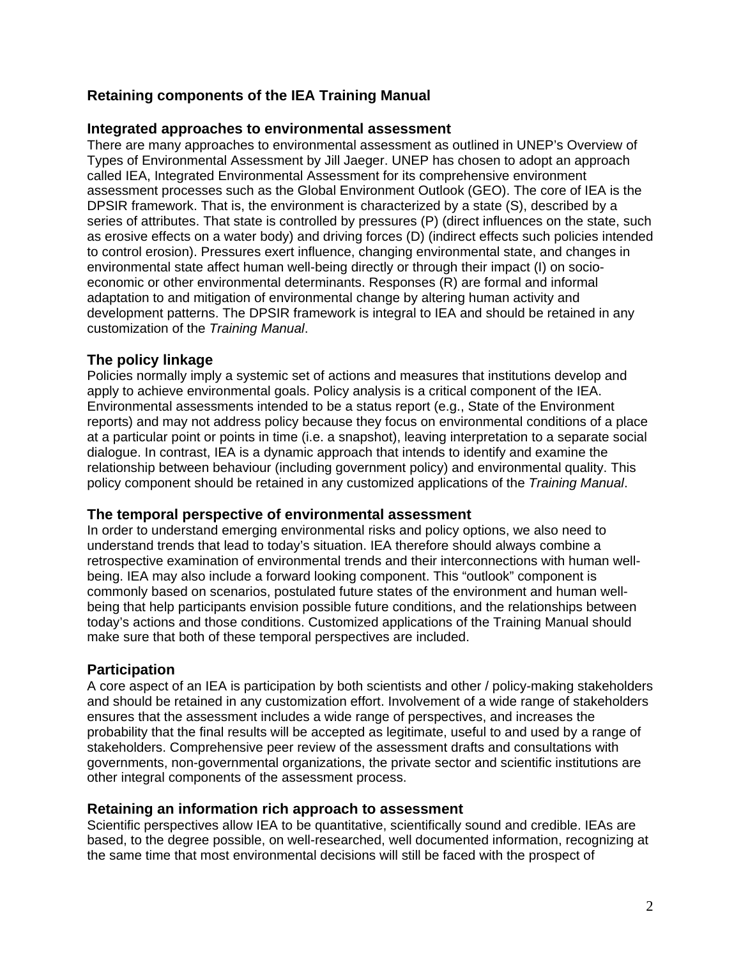# **Retaining components of the IEA Training Manual**

### **Integrated approaches to environmental assessment**

There are many approaches to environmental assessment as outlined in UNEP's Overview of Types of Environmental Assessment by Jill Jaeger. UNEP has chosen to adopt an approach called IEA, Integrated Environmental Assessment for its comprehensive environment assessment processes such as the Global Environment Outlook (GEO). The core of IEA is the DPSIR framework. That is, the environment is characterized by a state (S), described by a series of attributes. That state is controlled by pressures (P) (direct influences on the state, such as erosive effects on a water body) and driving forces (D) (indirect effects such policies intended to control erosion). Pressures exert influence, changing environmental state, and changes in environmental state affect human well-being directly or through their impact (I) on socioeconomic or other environmental determinants. Responses (R) are formal and informal adaptation to and mitigation of environmental change by altering human activity and development patterns. The DPSIR framework is integral to IEA and should be retained in any customization of the *Training Manual*.

### **The policy linkage**

Policies normally imply a systemic set of actions and measures that institutions develop and apply to achieve environmental goals. Policy analysis is a critical component of the IEA. Environmental assessments intended to be a status report (e.g., State of the Environment reports) and may not address policy because they focus on environmental conditions of a place at a particular point or points in time (i.e. a snapshot), leaving interpretation to a separate social dialogue. In contrast, IEA is a dynamic approach that intends to identify and examine the relationship between behaviour (including government policy) and environmental quality. This policy component should be retained in any customized applications of the *Training Manual*.

#### **The temporal perspective of environmental assessment**

In order to understand emerging environmental risks and policy options, we also need to understand trends that lead to today's situation. IEA therefore should always combine a retrospective examination of environmental trends and their interconnections with human wellbeing. IEA may also include a forward looking component. This "outlook" component is commonly based on scenarios, postulated future states of the environment and human wellbeing that help participants envision possible future conditions, and the relationships between today's actions and those conditions. Customized applications of the Training Manual should make sure that both of these temporal perspectives are included.

# **Participation**

A core aspect of an IEA is participation by both scientists and other / policy-making stakeholders and should be retained in any customization effort. Involvement of a wide range of stakeholders ensures that the assessment includes a wide range of perspectives, and increases the probability that the final results will be accepted as legitimate, useful to and used by a range of stakeholders. Comprehensive peer review of the assessment drafts and consultations with governments, non-governmental organizations, the private sector and scientific institutions are other integral components of the assessment process.

#### **Retaining an information rich approach to assessment**

Scientific perspectives allow IEA to be quantitative, scientifically sound and credible. IEAs are based, to the degree possible, on well-researched, well documented information, recognizing at the same time that most environmental decisions will still be faced with the prospect of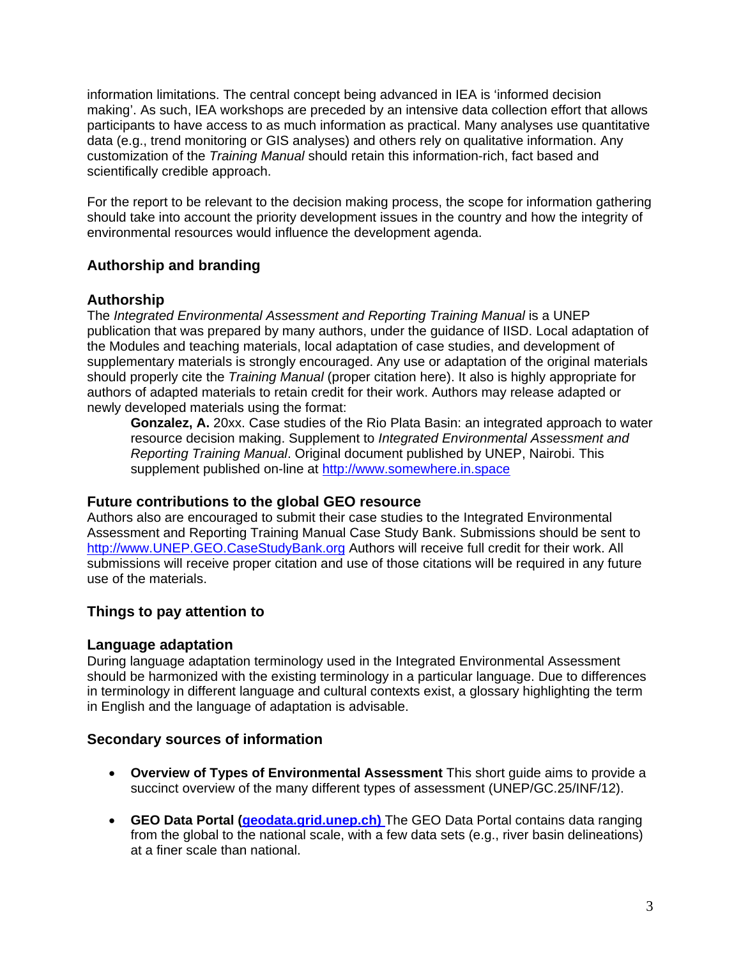information limitations. The central concept being advanced in IEA is 'informed decision making'. As such, IEA workshops are preceded by an intensive data collection effort that allows participants to have access to as much information as practical. Many analyses use quantitative data (e.g., trend monitoring or GIS analyses) and others rely on qualitative information. Any customization of the *Training Manual* should retain this information-rich, fact based and scientifically credible approach.

For the report to be relevant to the decision making process, the scope for information gathering should take into account the priority development issues in the country and how the integrity of environmental resources would influence the development agenda.

# **Authorship and branding**

### **Authorship**

The *Integrated Environmental Assessment and Reporting Training Manual* is a UNEP publication that was prepared by many authors, under the guidance of IISD. Local adaptation of the Modules and teaching materials, local adaptation of case studies, and development of supplementary materials is strongly encouraged. Any use or adaptation of the original materials should properly cite the *Training Manual* (proper citation here). It also is highly appropriate for authors of adapted materials to retain credit for their work. Authors may release adapted or newly developed materials using the format:

 **Gonzalez, A.** 20xx. Case studies of the Rio Plata Basin: an integrated approach to water resource decision making. Supplement to *Integrated Environmental Assessment and Reporting Training Manual*. Original document published by UNEP, Nairobi. This supplement published on-line at http://www.somewhere.in.space

#### **Future contributions to the global GEO resource**

Authors also are encouraged to submit their case studies to the Integrated Environmental Assessment and Reporting Training Manual Case Study Bank. Submissions should be sent to [http://www.UNEP.GEO.CaseStudyBank.org](http://www.unep.geo.casestudybank.org/) Authors will receive full credit for their work. All submissions will receive proper citation and use of those citations will be required in any future use of the materials.

# **Things to pay attention to**

# **Language adaptation**

During language adaptation terminology used in the Integrated Environmental Assessment should be harmonized with the existing terminology in a particular language. Due to differences in terminology in different language and cultural contexts exist, a glossary highlighting the term in English and the language of adaptation is advisable.

# **Secondary sources of information**

- **Overview of Types of Environmental Assessment** This short guide aims to provide a succinct overview of the many different types of assessment (UNEP/GC.25/INF/12).
- **GEO Data Portal (geodata.grid.unep.ch)** The GEO Data Portal contains data ranging from the global to the national scale, with a few data sets (e.g., river basin delineations) at a finer scale than national.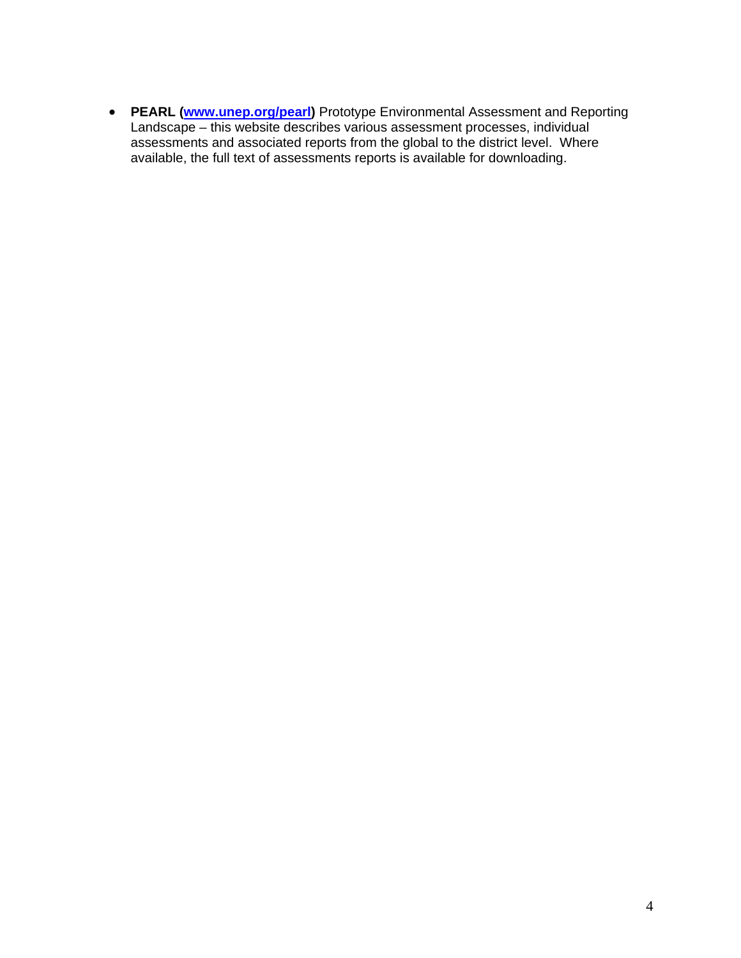• **PEARL ([www.unep.org/pearl](http://www.unep.org/pearl))** Prototype Environmental Assessment and Reporting Landscape – this website describes various assessment processes, individual assessments and associated reports from the global to the district level. Where available, the full text of assessments reports is available for downloading.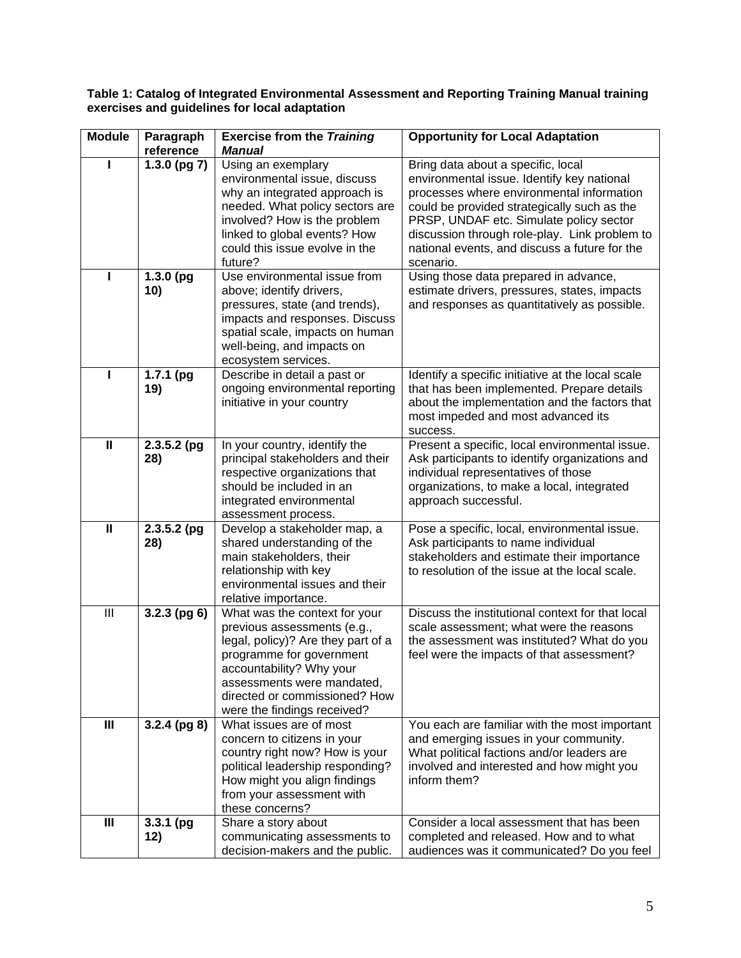#### **Table 1: Catalog of Integrated Environmental Assessment and Reporting Training Manual training exercises and guidelines for local adaptation**

| <b>Module</b>  | Paragraph                      | <b>Exercise from the Training</b>                                | <b>Opportunity for Local Adaptation</b>                                                      |
|----------------|--------------------------------|------------------------------------------------------------------|----------------------------------------------------------------------------------------------|
|                | reference<br>$1.3.0$ (pg $7$ ) | <b>Manual</b><br>Using an exemplary                              | Bring data about a specific, local                                                           |
|                |                                | environmental issue, discuss                                     | environmental issue. Identify key national                                                   |
|                |                                | why an integrated approach is                                    | processes where environmental information                                                    |
|                |                                | needed. What policy sectors are                                  | could be provided strategically such as the                                                  |
|                |                                | involved? How is the problem                                     | PRSP, UNDAF etc. Simulate policy sector                                                      |
|                |                                | linked to global events? How                                     | discussion through role-play. Link problem to                                                |
|                |                                | could this issue evolve in the                                   | national events, and discuss a future for the                                                |
|                |                                | future?                                                          | scenario.                                                                                    |
| п              | 1.3.0(pq)                      | Use environmental issue from                                     | Using those data prepared in advance,                                                        |
|                | 10)                            | above; identify drivers,                                         | estimate drivers, pressures, states, impacts                                                 |
|                |                                | pressures, state (and trends),<br>impacts and responses. Discuss | and responses as quantitatively as possible.                                                 |
|                |                                | spatial scale, impacts on human                                  |                                                                                              |
|                |                                | well-being, and impacts on                                       |                                                                                              |
|                |                                | ecosystem services.                                              |                                                                                              |
|                | $1.7.1$ (pg                    | Describe in detail a past or                                     | Identify a specific initiative at the local scale                                            |
|                | 19)                            | ongoing environmental reporting                                  | that has been implemented. Prepare details                                                   |
|                |                                | initiative in your country                                       | about the implementation and the factors that                                                |
|                |                                |                                                                  | most impeded and most advanced its                                                           |
| $\mathbf{I}$   | $2.3.5.2$ (pg                  | In your country, identify the                                    | success.<br>Present a specific, local environmental issue.                                   |
|                | 28)                            | principal stakeholders and their                                 | Ask participants to identify organizations and                                               |
|                |                                | respective organizations that                                    | individual representatives of those                                                          |
|                |                                | should be included in an                                         | organizations, to make a local, integrated                                                   |
|                |                                | integrated environmental                                         | approach successful.                                                                         |
|                |                                | assessment process.                                              |                                                                                              |
| $\mathbf{I}$   | $2.3.5.2$ (pg                  | Develop a stakeholder map, a                                     | Pose a specific, local, environmental issue.                                                 |
|                | 28)                            | shared understanding of the                                      | Ask participants to name individual                                                          |
|                |                                | main stakeholders, their<br>relationship with key                | stakeholders and estimate their importance<br>to resolution of the issue at the local scale. |
|                |                                | environmental issues and their                                   |                                                                                              |
|                |                                | relative importance.                                             |                                                                                              |
| III            | $3.2.3$ (pg 6)                 | What was the context for your                                    | Discuss the institutional context for that local                                             |
|                |                                | previous assessments (e.g.,                                      | scale assessment; what were the reasons                                                      |
|                |                                | legal, policy)? Are they part of a                               | the assessment was instituted? What do you                                                   |
|                |                                | programme for government                                         | feel were the impacts of that assessment?                                                    |
|                |                                | accountability? Why your<br>assessments were mandated,           |                                                                                              |
|                |                                | directed or commissioned? How                                    |                                                                                              |
|                |                                | were the findings received?                                      |                                                                                              |
| $\mathbf{III}$ | $3.2.4$ (pg 8)                 | What issues are of most                                          | You each are familiar with the most important                                                |
|                |                                | concern to citizens in your                                      | and emerging issues in your community.                                                       |
|                |                                | country right now? How is your                                   | What political factions and/or leaders are                                                   |
|                |                                | political leadership responding?                                 | involved and interested and how might you                                                    |
|                |                                | How might you align findings                                     | inform them?                                                                                 |
|                |                                | from your assessment with                                        |                                                                                              |
| $\mathbf{III}$ | $3.3.1$ (pg                    | these concerns?<br>Share a story about                           | Consider a local assessment that has been                                                    |
|                | 12)                            | communicating assessments to                                     | completed and released. How and to what                                                      |
|                |                                | decision-makers and the public.                                  | audiences was it communicated? Do you feel                                                   |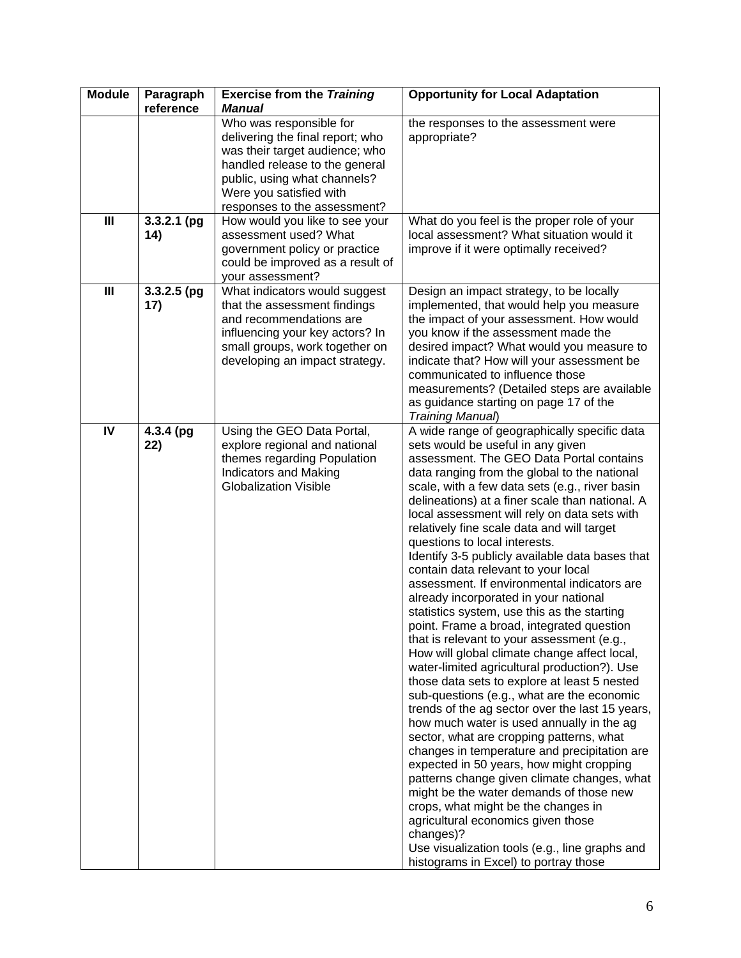| <b>Module</b>  | Paragraph     | <b>Exercise from the Training</b>                                | <b>Opportunity for Local Adaptation</b>                                                      |
|----------------|---------------|------------------------------------------------------------------|----------------------------------------------------------------------------------------------|
|                | reference     | <b>Manual</b>                                                    |                                                                                              |
|                |               | Who was responsible for                                          | the responses to the assessment were                                                         |
|                |               | delivering the final report; who                                 | appropriate?                                                                                 |
|                |               | was their target audience; who<br>handled release to the general |                                                                                              |
|                |               | public, using what channels?                                     |                                                                                              |
|                |               | Were you satisfied with                                          |                                                                                              |
|                |               | responses to the assessment?                                     |                                                                                              |
| $\mathbf{III}$ | $3.3.2.1$ (pg | How would you like to see your                                   | What do you feel is the proper role of your                                                  |
|                | 14)           | assessment used? What                                            | local assessment? What situation would it                                                    |
|                |               | government policy or practice                                    | improve if it were optimally received?                                                       |
|                |               | could be improved as a result of                                 |                                                                                              |
|                |               | your assessment?                                                 |                                                                                              |
| $\mathbf{III}$ | $3.3.2.5$ (pg | What indicators would suggest                                    | Design an impact strategy, to be locally                                                     |
|                | 17)           | that the assessment findings                                     | implemented, that would help you measure                                                     |
|                |               | and recommendations are                                          | the impact of your assessment. How would                                                     |
|                |               | influencing your key actors? In                                  | you know if the assessment made the                                                          |
|                |               | small groups, work together on                                   | desired impact? What would you measure to<br>indicate that? How will your assessment be      |
|                |               | developing an impact strategy.                                   | communicated to influence those                                                              |
|                |               |                                                                  | measurements? (Detailed steps are available                                                  |
|                |               |                                                                  | as guidance starting on page 17 of the                                                       |
|                |               |                                                                  | Training Manual)                                                                             |
| IV             | 4.3.4 (pg     | Using the GEO Data Portal,                                       | A wide range of geographically specific data                                                 |
|                | 22)           | explore regional and national                                    | sets would be useful in any given                                                            |
|                |               | themes regarding Population                                      | assessment. The GEO Data Portal contains                                                     |
|                |               | <b>Indicators and Making</b>                                     | data ranging from the global to the national                                                 |
|                |               | <b>Globalization Visible</b>                                     | scale, with a few data sets (e.g., river basin                                               |
|                |               |                                                                  | delineations) at a finer scale than national. A                                              |
|                |               |                                                                  | local assessment will rely on data sets with<br>relatively fine scale data and will target   |
|                |               |                                                                  | questions to local interests.                                                                |
|                |               |                                                                  | Identify 3-5 publicly available data bases that                                              |
|                |               |                                                                  | contain data relevant to your local                                                          |
|                |               |                                                                  | assessment. If environmental indicators are                                                  |
|                |               |                                                                  | already incorporated in your national                                                        |
|                |               |                                                                  | statistics system, use this as the starting                                                  |
|                |               |                                                                  | point. Frame a broad, integrated question                                                    |
|                |               |                                                                  | that is relevant to your assessment (e.g.,                                                   |
|                |               |                                                                  | How will global climate change affect local,                                                 |
|                |               |                                                                  | water-limited agricultural production?). Use<br>those data sets to explore at least 5 nested |
|                |               |                                                                  | sub-questions (e.g., what are the economic                                                   |
|                |               |                                                                  | trends of the ag sector over the last 15 years,                                              |
|                |               |                                                                  | how much water is used annually in the ag                                                    |
|                |               |                                                                  | sector, what are cropping patterns, what                                                     |
|                |               |                                                                  | changes in temperature and precipitation are                                                 |
|                |               |                                                                  | expected in 50 years, how might cropping                                                     |
|                |               |                                                                  | patterns change given climate changes, what                                                  |
|                |               |                                                                  | might be the water demands of those new                                                      |
|                |               |                                                                  | crops, what might be the changes in                                                          |
|                |               |                                                                  | agricultural economics given those                                                           |
|                |               |                                                                  | changes)?<br>Use visualization tools (e.g., line graphs and                                  |
|                |               |                                                                  | histograms in Excel) to portray those                                                        |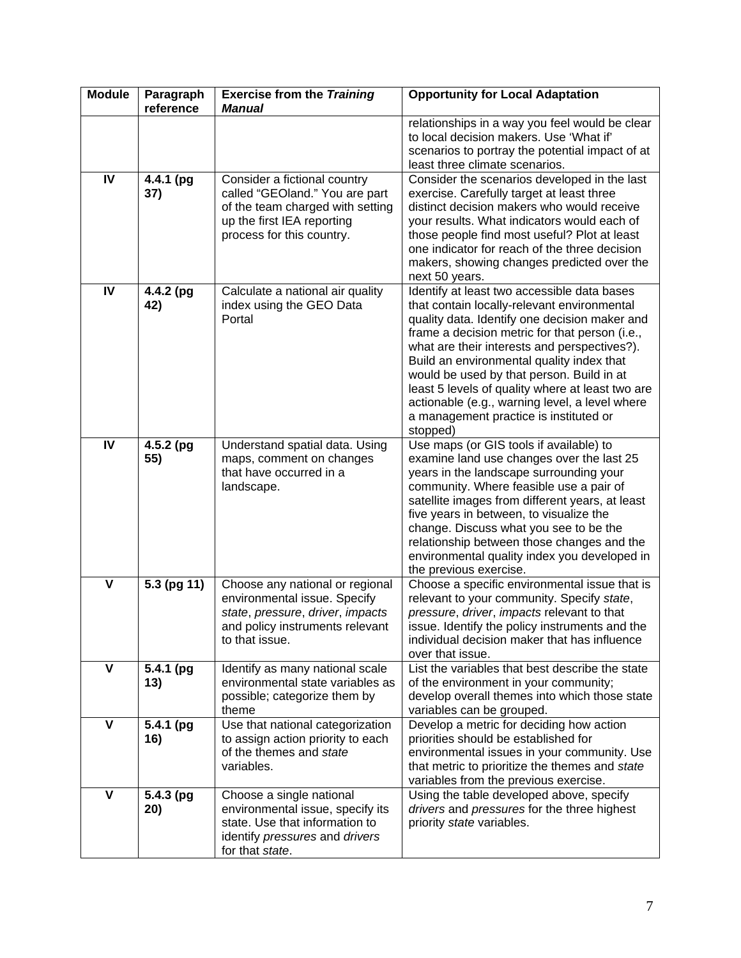| <b>Module</b>           | Paragraph<br>reference | <b>Exercise from the Training</b><br><b>Manual</b>                                                                                                            | <b>Opportunity for Local Adaptation</b>                                                                                                                                                                                                                                                                                                                                                                                                                                                             |
|-------------------------|------------------------|---------------------------------------------------------------------------------------------------------------------------------------------------------------|-----------------------------------------------------------------------------------------------------------------------------------------------------------------------------------------------------------------------------------------------------------------------------------------------------------------------------------------------------------------------------------------------------------------------------------------------------------------------------------------------------|
|                         |                        |                                                                                                                                                               | relationships in a way you feel would be clear<br>to local decision makers. Use 'What if'<br>scenarios to portray the potential impact of at<br>least three climate scenarios.                                                                                                                                                                                                                                                                                                                      |
| IV                      | 4.4.1 (pg<br>37)       | Consider a fictional country<br>called "GEOland." You are part<br>of the team charged with setting<br>up the first IEA reporting<br>process for this country. | Consider the scenarios developed in the last<br>exercise. Carefully target at least three<br>distinct decision makers who would receive<br>your results. What indicators would each of<br>those people find most useful? Plot at least<br>one indicator for reach of the three decision<br>makers, showing changes predicted over the<br>next 50 years.                                                                                                                                             |
| IV                      | 4.4.2 (pg<br>42)       | Calculate a national air quality<br>index using the GEO Data<br>Portal                                                                                        | Identify at least two accessible data bases<br>that contain locally-relevant environmental<br>quality data. Identify one decision maker and<br>frame a decision metric for that person (i.e.,<br>what are their interests and perspectives?).<br>Build an environmental quality index that<br>would be used by that person. Build in at<br>least 5 levels of quality where at least two are<br>actionable (e.g., warning level, a level where<br>a management practice is instituted or<br>stopped) |
| IV                      | 4.5.2 (pg<br>55)       | Understand spatial data. Using<br>maps, comment on changes<br>that have occurred in a<br>landscape.                                                           | Use maps (or GIS tools if available) to<br>examine land use changes over the last 25<br>years in the landscape surrounding your<br>community. Where feasible use a pair of<br>satellite images from different years, at least<br>five years in between, to visualize the<br>change. Discuss what you see to be the<br>relationship between those changes and the<br>environmental quality index you developed in<br>the previous exercise.                                                          |
| $\mathbf v$             | 5.3 (pg 11)            | Choose any national or regional<br>environmental issue. Specify<br>state, pressure, driver, impacts<br>and policy instruments relevant<br>to that issue.      | Choose a specific environmental issue that is<br>relevant to your community. Specify state,<br>pressure, driver, impacts relevant to that<br>issue. Identify the policy instruments and the<br>individual decision maker that has influence<br>over that issue.                                                                                                                                                                                                                                     |
| V                       | 5.4.1 (pg<br>13)       | Identify as many national scale<br>environmental state variables as<br>possible; categorize them by<br>theme                                                  | List the variables that best describe the state<br>of the environment in your community;<br>develop overall themes into which those state<br>variables can be grouped.                                                                                                                                                                                                                                                                                                                              |
| $\overline{\mathsf{v}}$ | 5.4.1 (pg<br>16)       | Use that national categorization<br>to assign action priority to each<br>of the themes and state<br>variables.                                                | Develop a metric for deciding how action<br>priorities should be established for<br>environmental issues in your community. Use<br>that metric to prioritize the themes and state<br>variables from the previous exercise.                                                                                                                                                                                                                                                                          |
| $\mathbf v$             | 5.4.3 (pg<br>20)       | Choose a single national<br>environmental issue, specify its<br>state. Use that information to<br>identify pressures and drivers<br>for that state.           | Using the table developed above, specify<br>drivers and pressures for the three highest<br>priority state variables.                                                                                                                                                                                                                                                                                                                                                                                |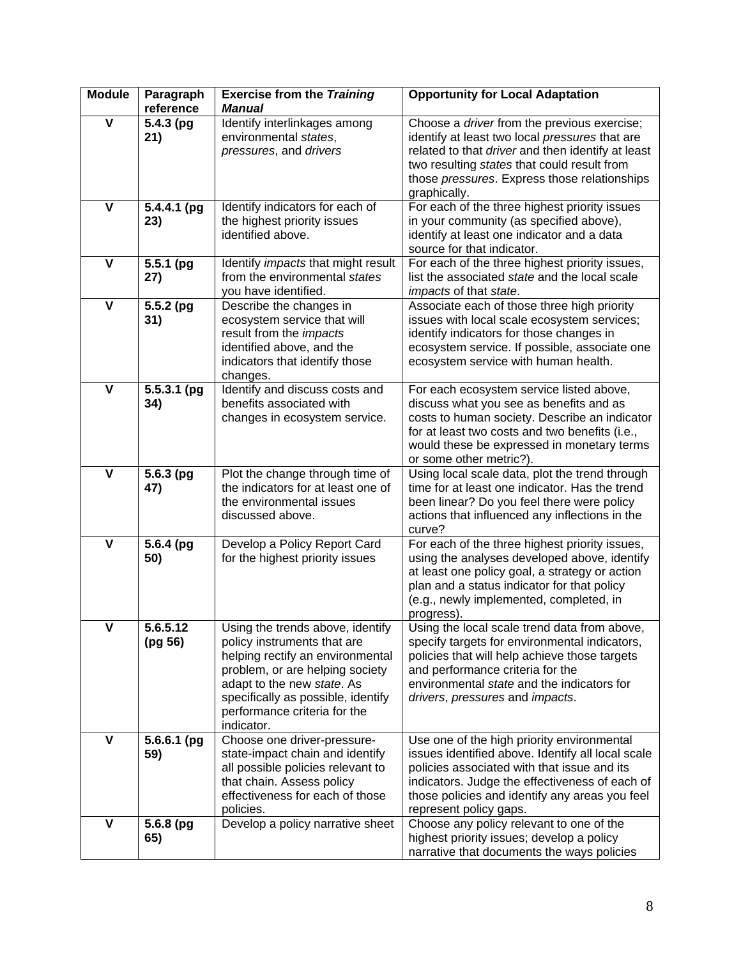| <b>Module</b>           | Paragraph<br>reference        | <b>Exercise from the Training</b><br><b>Manual</b>                                                                                                                                                                                                       | <b>Opportunity for Local Adaptation</b>                                                                                                                                                                                                                                      |
|-------------------------|-------------------------------|----------------------------------------------------------------------------------------------------------------------------------------------------------------------------------------------------------------------------------------------------------|------------------------------------------------------------------------------------------------------------------------------------------------------------------------------------------------------------------------------------------------------------------------------|
| $\mathbf v$             | $5.4.3$ (pg<br>21)            | Identify interlinkages among<br>environmental states,<br>pressures, and drivers                                                                                                                                                                          | Choose a driver from the previous exercise;<br>identify at least two local pressures that are<br>related to that driver and then identify at least<br>two resulting states that could result from<br>those pressures. Express those relationships<br>graphically.            |
| $\overline{\mathsf{v}}$ | 5.4.4.1 (pg<br>23)            | Identify indicators for each of<br>the highest priority issues<br>identified above.                                                                                                                                                                      | For each of the three highest priority issues<br>in your community (as specified above),<br>identify at least one indicator and a data<br>source for that indicator.                                                                                                         |
| $\mathbf v$             | $\overline{5.5.1}$ (pg<br>27) | Identify <i>impacts</i> that might result<br>from the environmental states<br>you have identified.                                                                                                                                                       | For each of the three highest priority issues,<br>list the associated state and the local scale<br>impacts of that state.                                                                                                                                                    |
| V                       | 5.5.2 (pg<br>31)              | Describe the changes in<br>ecosystem service that will<br>result from the <i>impacts</i><br>identified above, and the<br>indicators that identify those<br>changes.                                                                                      | Associate each of those three high priority<br>issues with local scale ecosystem services;<br>identify indicators for those changes in<br>ecosystem service. If possible, associate one<br>ecosystem service with human health.                                              |
| $\mathbf v$             | $5.5.3.1$ (pg<br>34)          | Identify and discuss costs and<br>benefits associated with<br>changes in ecosystem service.                                                                                                                                                              | For each ecosystem service listed above,<br>discuss what you see as benefits and as<br>costs to human society. Describe an indicator<br>for at least two costs and two benefits (i.e.,<br>would these be expressed in monetary terms<br>or some other metric?).              |
| V                       | $5.6.3$ (pg<br>47)            | Plot the change through time of<br>the indicators for at least one of<br>the environmental issues<br>discussed above.                                                                                                                                    | Using local scale data, plot the trend through<br>time for at least one indicator. Has the trend<br>been linear? Do you feel there were policy<br>actions that influenced any inflections in the<br>curve?                                                                   |
| $\mathbf v$             | 5.6.4 (pg<br>50)              | Develop a Policy Report Card<br>for the highest priority issues                                                                                                                                                                                          | For each of the three highest priority issues,<br>using the analyses developed above, identify<br>at least one policy goal, a strategy or action<br>plan and a status indicator for that policy<br>(e.g., newly implemented, completed, in<br>progress).                     |
| v                       | 5.6.5.12<br>(pg 56)           | Using the trends above, identify<br>policy instruments that are<br>helping rectify an environmental<br>problem, or are helping society<br>adapt to the new state. As<br>specifically as possible, identify<br>performance criteria for the<br>indicator. | Using the local scale trend data from above,<br>specify targets for environmental indicators,<br>policies that will help achieve those targets<br>and performance criteria for the<br>environmental state and the indicators for<br>drivers, pressures and impacts.          |
| $\mathbf v$             | $5.6.6.1$ (pg<br>59)          | Choose one driver-pressure-<br>state-impact chain and identify<br>all possible policies relevant to<br>that chain. Assess policy<br>effectiveness for each of those<br>policies.                                                                         | Use one of the high priority environmental<br>issues identified above. Identify all local scale<br>policies associated with that issue and its<br>indicators. Judge the effectiveness of each of<br>those policies and identify any areas you feel<br>represent policy gaps. |
| $\mathbf v$             | 5.6.8 (pg<br>65)              | Develop a policy narrative sheet                                                                                                                                                                                                                         | Choose any policy relevant to one of the<br>highest priority issues; develop a policy<br>narrative that documents the ways policies                                                                                                                                          |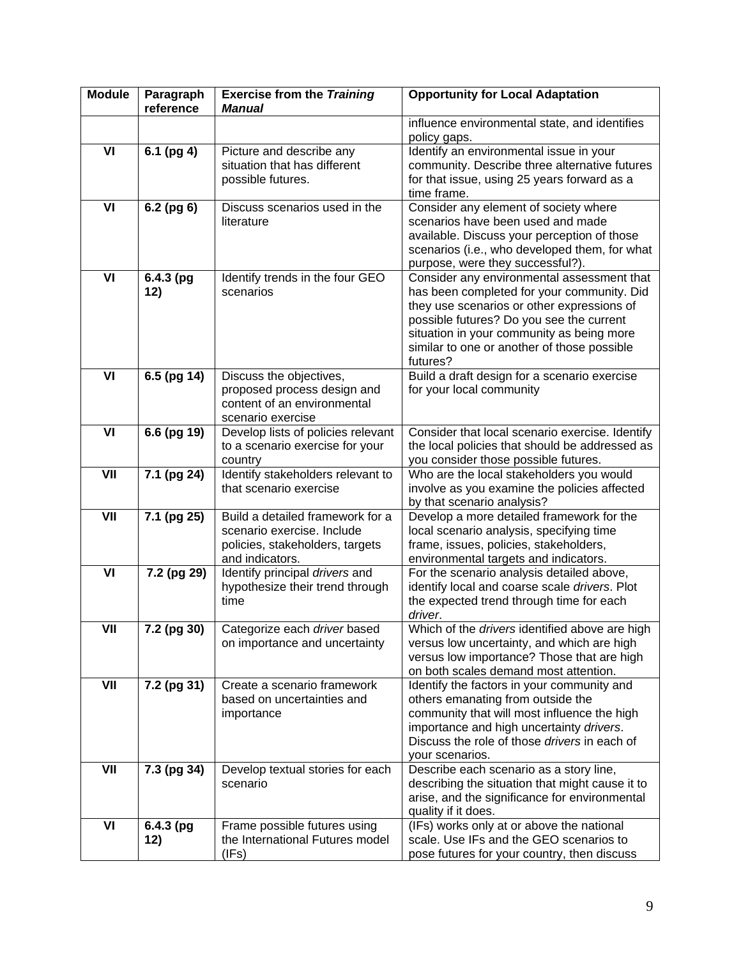| <b>Module</b> | Paragraph<br>reference | <b>Exercise from the Training</b><br><b>Manual</b>                                                                   | <b>Opportunity for Local Adaptation</b>                                                                                                                                                                                                                                                    |
|---------------|------------------------|----------------------------------------------------------------------------------------------------------------------|--------------------------------------------------------------------------------------------------------------------------------------------------------------------------------------------------------------------------------------------------------------------------------------------|
|               |                        |                                                                                                                      | influence environmental state, and identifies<br>policy gaps.                                                                                                                                                                                                                              |
| VI            | 6.1 (pg 4)             | Picture and describe any<br>situation that has different<br>possible futures.                                        | Identify an environmental issue in your<br>community. Describe three alternative futures<br>for that issue, using 25 years forward as a<br>time frame.                                                                                                                                     |
| VI            | 6.2 (pg 6)             | Discuss scenarios used in the<br>literature                                                                          | Consider any element of society where<br>scenarios have been used and made<br>available. Discuss your perception of those<br>scenarios (i.e., who developed them, for what<br>purpose, were they successful?).                                                                             |
| VI            | $6.4.3$ (pg<br>12)     | Identify trends in the four GEO<br>scenarios                                                                         | Consider any environmental assessment that<br>has been completed for your community. Did<br>they use scenarios or other expressions of<br>possible futures? Do you see the current<br>situation in your community as being more<br>similar to one or another of those possible<br>futures? |
| VI            | 6.5 (pg 14)            | Discuss the objectives,<br>proposed process design and<br>content of an environmental<br>scenario exercise           | Build a draft design for a scenario exercise<br>for your local community                                                                                                                                                                                                                   |
| VI            | 6.6 (pg 19)            | Develop lists of policies relevant<br>to a scenario exercise for your<br>country                                     | Consider that local scenario exercise. Identify<br>the local policies that should be addressed as<br>you consider those possible futures.                                                                                                                                                  |
| VII           | 7.1 (pg 24)            | Identify stakeholders relevant to<br>that scenario exercise                                                          | Who are the local stakeholders you would<br>involve as you examine the policies affected<br>by that scenario analysis?                                                                                                                                                                     |
| VII           | 7.1 (pg 25)            | Build a detailed framework for a<br>scenario exercise. Include<br>policies, stakeholders, targets<br>and indicators. | Develop a more detailed framework for the<br>local scenario analysis, specifying time<br>frame, issues, policies, stakeholders,<br>environmental targets and indicators.                                                                                                                   |
| VI            | 7.2 (pg 29)            | Identify principal drivers and<br>hypothesize their trend through<br>time                                            | For the scenario analysis detailed above,<br>identify local and coarse scale drivers. Plot<br>the expected trend through time for each<br>driver.                                                                                                                                          |
| VII           | $7.2$ (pg 30)          | Categorize each driver based<br>on importance and uncertainty                                                        | Which of the drivers identified above are high<br>versus low uncertainty, and which are high<br>versus low importance? Those that are high<br>on both scales demand most attention.                                                                                                        |
| VII           | 7.2 (pg 31)            | Create a scenario framework<br>based on uncertainties and<br>importance                                              | Identify the factors in your community and<br>others emanating from outside the<br>community that will most influence the high<br>importance and high uncertainty drivers.<br>Discuss the role of those drivers in each of<br>your scenarios.                                              |
| VII           | 7.3 (pg 34)            | Develop textual stories for each<br>scenario                                                                         | Describe each scenario as a story line,<br>describing the situation that might cause it to<br>arise, and the significance for environmental<br>quality if it does.                                                                                                                         |
| VI            | 6.4.3 (pg<br>12)       | Frame possible futures using<br>the International Futures model<br>(IFs)                                             | (IFs) works only at or above the national<br>scale. Use IFs and the GEO scenarios to<br>pose futures for your country, then discuss                                                                                                                                                        |